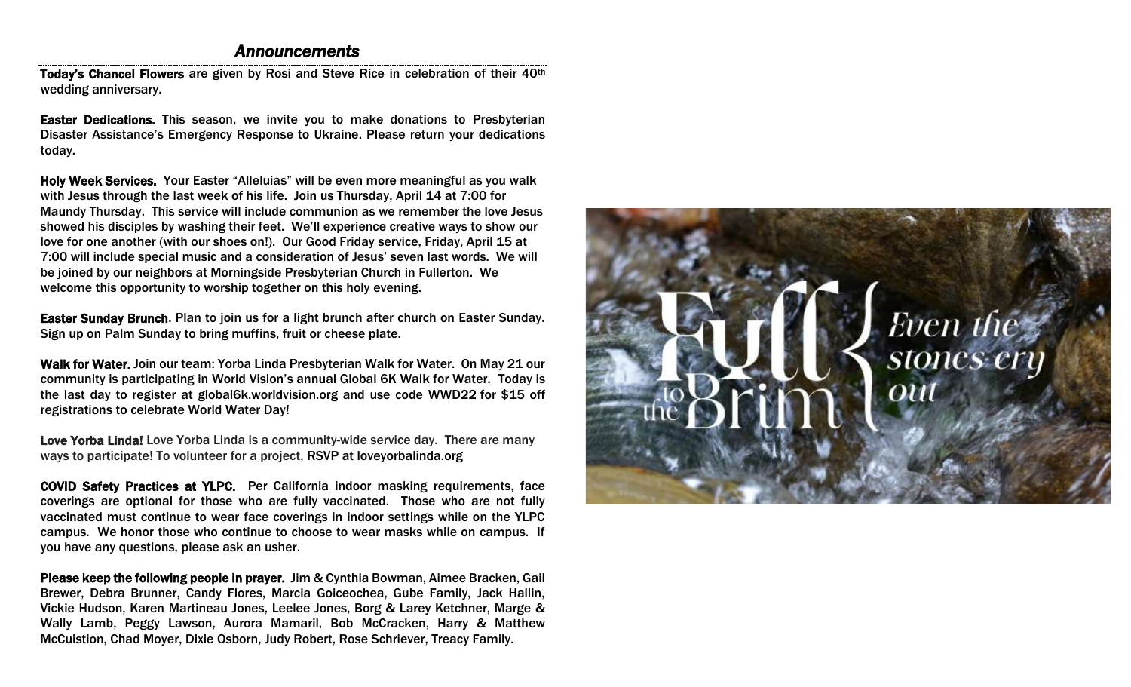## *Announcements*

Today's Chancel Flowers are given by Rosi and Steve Rice in celebration of their 40<sup>th</sup> wedding anniversary.

Easter Dedications. This season, we invite you to make donations to Presbyterian Disaster Assistance's Emergency Response to Ukraine. Please return your dedications today.

Holy Week Services. Your Easter "Alleluias" will be even more meaningful as you walk with Jesus through the last week of his life. Join us Thursday, April 14 at 7:00 for Maundy Thursday. This service will include communion as we remember the love Jesus showed his disciples by washing their feet. We'll experience creative ways to show our love for one another (with our shoes on!). Our Good Friday service, Friday, April 15 at 7:00 will include special music and a consideration of Jesus' seven last words. We will be joined by our neighbors at Morningside Presbyterian Church in Fullerton. We welcome this opportunity to worship together on this holy evening.

Easter Sunday Brunch. Plan to join us for a light brunch after church on Easter Sunday. Sign up on Palm Sunday to bring muffins, fruit or cheese plate.

Walk for Water. Join our team: Yorba Linda Presbyterian Walk for Water. On May 21 our community is participating in World Vision's annual Global 6K Walk for Water. Today is the last day to register at global6k.worldvision.org and use code WWD22 for \$15 off registrations to celebrate World Water Day!

Love Yorba Linda! Love Yorba Linda is a community-wide service day. There are many ways to participate! To volunteer for a project, [RSVP at](https://protect-us.mimecast.com/s/yEmaC4xJB0CxDRfWZ4fj?domain=ylpc.us10.list-manage.com) loveyorbalinda.org

COVID Safety Practices at YLPC. Per California indoor masking requirements, face coverings are optional for those who are fully vaccinated. Those who are not fully vaccinated must continue to wear face coverings in indoor settings while on the YLPC campus. We honor those who continue to choose to wear masks while on campus. If you have any questions, please ask an usher.

Please keep the following people in prayer. Jim & Cynthia Bowman, Aimee Bracken, Gail Brewer, Debra Brunner, Candy Flores, Marcia Goiceochea, Gube Family, Jack Hallin, Vickie Hudson, Karen Martineau Jones, Leelee Jones, Borg & Larey Ketchner, Marge & Wally Lamb, Peggy Lawson, Aurora Mamaril, Bob McCracken, Harry & Matthew McCuistion, Chad Moyer, Dixie Osborn, Judy Robert, Rose Schriever, Treacy Family.

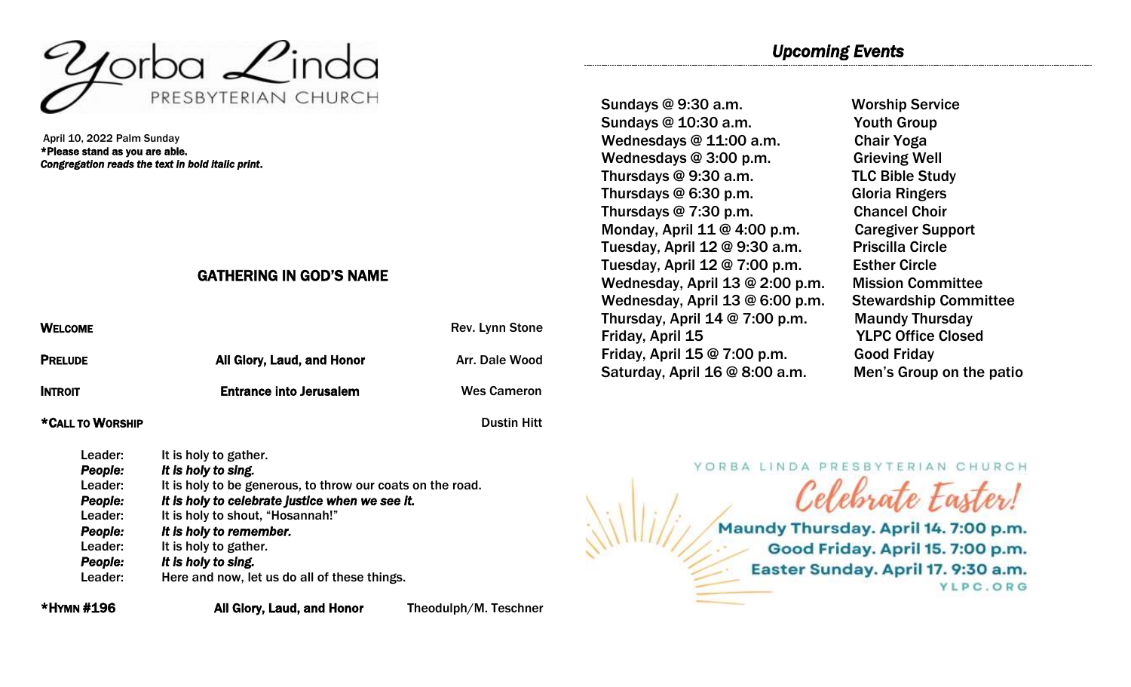

April 10, 2022 Palm Sunday \*Please stand as you are able. *Congregation reads the text in bold italic print*.

## GATHERING IN GOD'S NAME

| <b>WELCOME</b> |                                | Rev. Lynn Stone    |
|----------------|--------------------------------|--------------------|
| <b>PRELUDE</b> | All Glory, Laud, and Honor     | Arr. Dale Wood     |
| <b>INTROIT</b> | <b>Entrance into Jerusalem</b> | <b>Wes Cameron</b> |
|                |                                |                    |

#### \*CALL TO WORSHIP Dustin Hitt

| Leader: | It is holy to gather.                                      |
|---------|------------------------------------------------------------|
| People: | It is holy to sing.                                        |
| Leader: | It is holy to be generous, to throw our coats on the road. |
| People: | It is holy to celebrate justice when we see it.            |
| Leader: | It is holy to shout, "Hosannah!"                           |
| People: | It is holy to remember.                                    |
| Leader: | It is holy to gather.                                      |
| People: | It is holy to sing.                                        |
| Leader: | Here and now, let us do all of these things.               |
|         |                                                            |

\*HYMN #196 All Glory, Laud, and Honor Theodulph/M. Teschner

Sundays @ 9:30 a.m. Worship Service Sundays @ 10:30 a.m. Youth Group Wednesdays @ 11:00 a.m. Chair Yoga Wednesdays @ 3:00 p.m. Grieving Well Thursdays @ 9:30 a.m. TLC Bible Study Thursdays @ 6:30 p.m. Gloria Ringers Thursdays @ 7:30 p.m. Chancel Choir Monday, April 11 @ 4:00 p.m. Caregiver Support Tuesday, April 12 @ 9:30 a.m. Priscilla Circle Tuesday, April 12 @ 7:00 p.m. Esther Circle Wednesday, April 13 @ 2:00 p.m. Mission Committee Wednesday, April 13 @ 6:00 p.m. Stewardship Committee Thursday, April 14 @ 7:00 p.m. Maundy Thursday Friday, April 15 YLPC Office Closed Friday, April 15 @ 7:00 p.m. Good Friday Saturday, April 16 @ 8:00 a.m. Men's Group on the patio

YORBA LINDA PRESBYTERIAN CHURCH

Celebrate Easter!

Maundy Thursday. April 14. 7:00 p.m. Good Friday. April 15. 7:00 p.m. Easter Sunday. April 17. 9:30 a.m. YLPC.ORG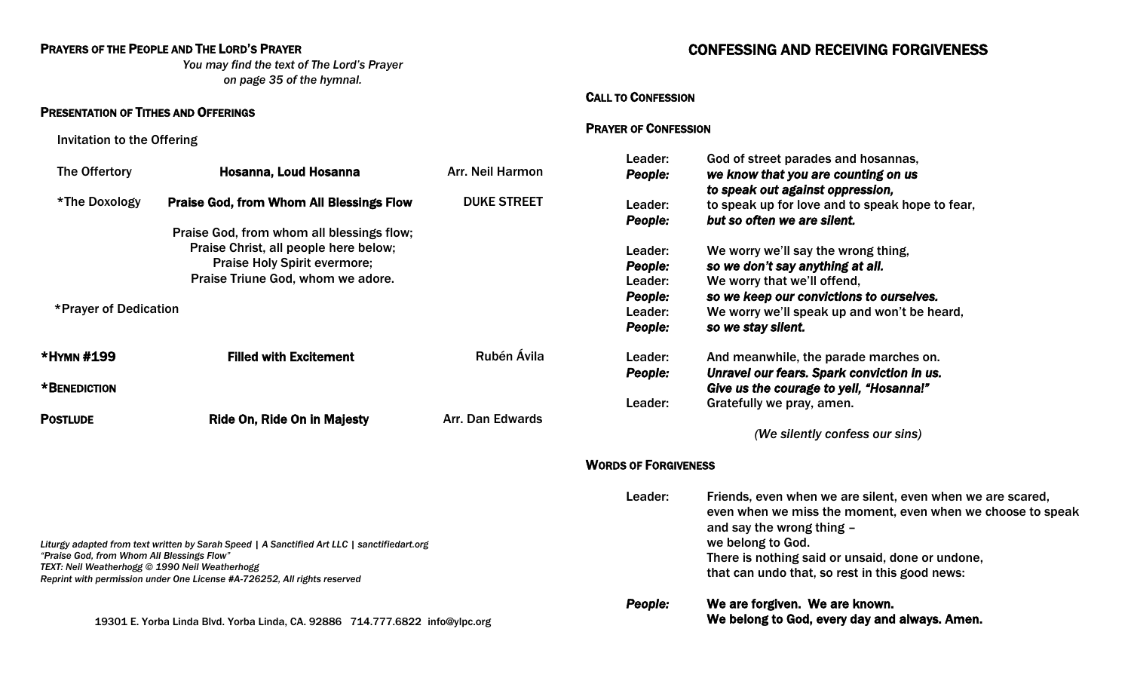### PRAYERS OF THE PEOPLE AND THE LORD'S PRAYER

*You may find the text of The Lord's Prayer on page 35 of the hymnal.*

#### PRESENTATION OF TITHES AND OFFERINGS

Invitation to the Offering

| The Offertory         | Hosanna, Loud Hosanna                                                                                                                                          | Arr. Neil Harmon   |
|-----------------------|----------------------------------------------------------------------------------------------------------------------------------------------------------------|--------------------|
| *The Doxology         | <b>Praise God, from Whom All Blessings Flow</b>                                                                                                                | <b>DUKE STREET</b> |
|                       | Praise God, from whom all blessings flow;<br>Praise Christ, all people here below;<br><b>Praise Holy Spirit evermore;</b><br>Praise Triune God, whom we adore. |                    |
| *Prayer of Dedication |                                                                                                                                                                |                    |
| *HYMN #199            | <b>Filled with Excitement</b>                                                                                                                                  | Rubén Ávila        |
| *BENEDICTION          |                                                                                                                                                                |                    |
| <b>POSTLUDE</b>       | <b>Ride On, Ride On in Majesty</b>                                                                                                                             | Arr. Dan Edwards   |
|                       |                                                                                                                                                                |                    |

*Liturgy adapted from text written by Sarah Speed | A Sanctified Art LLC | sanctifiedart.org "Praise God, from Whom All Blessings Flow" TEXT: Neil Weatherhogg © 1990 Neil Weatherhogg Reprint with permission under One License #A-726252, All rights reserved*

19301 E. Yorba Linda Blvd. Yorba Linda, CA. 92886 714.777.6822 [info@ylpc.org](mailto:info@ylpc.org)

#### CALL TO CONFESSION

#### PRAYER OF CONFESSION

| Leader:                     | God of street parades and hosannas,                                                                                                                   |
|-----------------------------|-------------------------------------------------------------------------------------------------------------------------------------------------------|
| People:                     | we know that you are counting on us                                                                                                                   |
| Leader:                     | to speak out against oppression,<br>to speak up for love and to speak hope to fear,                                                                   |
| People:                     | but so often we are silent.                                                                                                                           |
|                             |                                                                                                                                                       |
| Leader:                     | We worry we'll say the wrong thing,                                                                                                                   |
| People:                     | so we don't say anything at all.                                                                                                                      |
| Leader:                     | We worry that we'll offend,                                                                                                                           |
| People:                     | so we keep our convictions to ourselves.                                                                                                              |
| Leader:                     | We worry we'll speak up and won't be heard,                                                                                                           |
| People:                     | so we stay silent.                                                                                                                                    |
| Leader:                     | And meanwhile, the parade marches on.                                                                                                                 |
| People:                     | Unravel our fears. Spark conviction in us.                                                                                                            |
|                             | Give us the courage to yell, "Hosanna!"                                                                                                               |
| Leader:                     | Gratefully we pray, amen.                                                                                                                             |
|                             | (We silently confess our sins)                                                                                                                        |
| <b>WORDS OF FORGIVENESS</b> |                                                                                                                                                       |
| Leader:                     | Friends, even when we are silent, even when we are scared,<br>even when we miss the moment, even when we choose to speak<br>and say the wrong thing - |
|                             | we belong to God.                                                                                                                                     |
|                             | There is nothing said or unsaid, done or undone,<br>that can undo that, so rest in this good news:                                                    |
|                             |                                                                                                                                                       |
| People:                     | We are forgiven. We are known.                                                                                                                        |
|                             | We belong to God, every day and always. Amen.                                                                                                         |